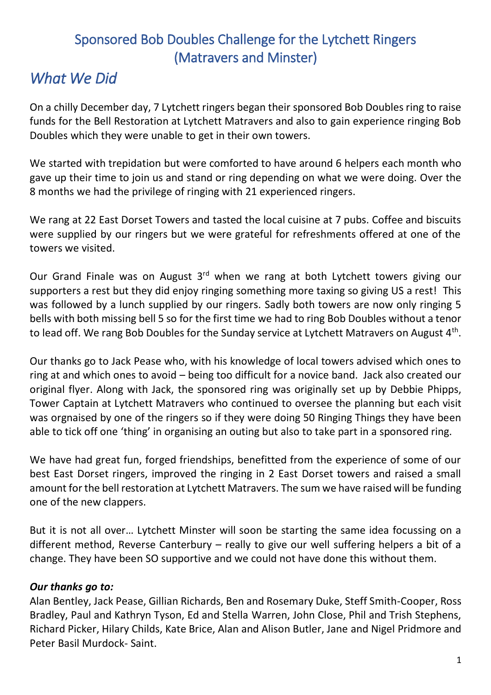### Sponsored Bob Doubles Challenge for the Lytchett Ringers (Matravers and Minster)

## *What We Did*

On a chilly December day, 7 Lytchett ringers began their sponsored Bob Doubles ring to raise funds for the Bell Restoration at Lytchett Matravers and also to gain experience ringing Bob Doubles which they were unable to get in their own towers.

We started with trepidation but were comforted to have around 6 helpers each month who gave up their time to join us and stand or ring depending on what we were doing. Over the 8 months we had the privilege of ringing with 21 experienced ringers.

We rang at 22 East Dorset Towers and tasted the local cuisine at 7 pubs. Coffee and biscuits were supplied by our ringers but we were grateful for refreshments offered at one of the towers we visited.

Our Grand Finale was on August 3<sup>rd</sup> when we rang at both Lytchett towers giving our supporters a rest but they did enjoy ringing something more taxing so giving US a rest! This was followed by a lunch supplied by our ringers. Sadly both towers are now only ringing 5 bells with both missing bell 5 so for the first time we had to ring Bob Doubles without a tenor to lead off. We rang Bob Doubles for the Sunday service at Lytchett Matravers on August 4<sup>th</sup>.

Our thanks go to Jack Pease who, with his knowledge of local towers advised which ones to ring at and which ones to avoid – being too difficult for a novice band. Jack also created our original flyer. Along with Jack, the sponsored ring was originally set up by Debbie Phipps, Tower Captain at Lytchett Matravers who continued to oversee the planning but each visit was orgnaised by one of the ringers so if they were doing 50 Ringing Things they have been able to tick off one 'thing' in organising an outing but also to take part in a sponsored ring.

We have had great fun, forged friendships, benefitted from the experience of some of our best East Dorset ringers, improved the ringing in 2 East Dorset towers and raised a small amount for the bell restoration at Lytchett Matravers. The sum we have raised will be funding one of the new clappers.

But it is not all over… Lytchett Minster will soon be starting the same idea focussing on a different method, Reverse Canterbury – really to give our well suffering helpers a bit of a change. They have been SO supportive and we could not have done this without them.

#### *Our thanks go to:*

Alan Bentley, Jack Pease, Gillian Richards, Ben and Rosemary Duke, Steff Smith-Cooper, Ross Bradley, Paul and Kathryn Tyson, Ed and Stella Warren, John Close, Phil and Trish Stephens, Richard Picker, Hilary Childs, Kate Brice, Alan and Alison Butler, Jane and Nigel Pridmore and Peter Basil Murdock- Saint.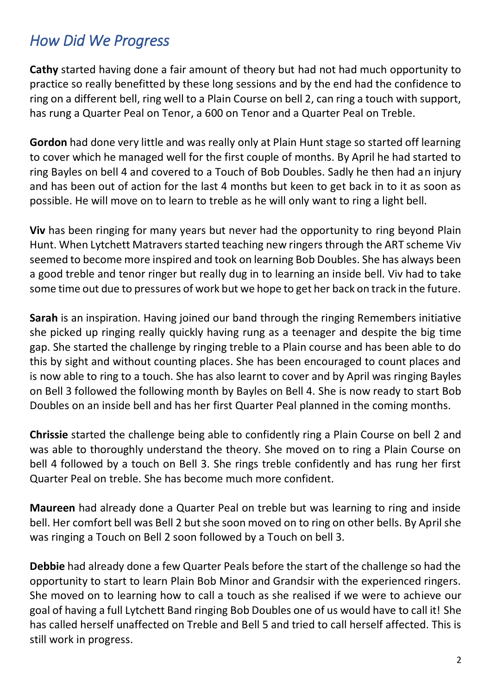## *How Did We Progress*

**Cathy** started having done a fair amount of theory but had not had much opportunity to practice so really benefitted by these long sessions and by the end had the confidence to ring on a different bell, ring well to a Plain Course on bell 2, can ring a touch with support, has rung a Quarter Peal on Tenor, a 600 on Tenor and a Quarter Peal on Treble.

**Gordon** had done very little and was really only at Plain Hunt stage so started off learning to cover which he managed well for the first couple of months. By April he had started to ring Bayles on bell 4 and covered to a Touch of Bob Doubles. Sadly he then had an injury and has been out of action for the last 4 months but keen to get back in to it as soon as possible. He will move on to learn to treble as he will only want to ring a light bell.

**Viv** has been ringing for many years but never had the opportunity to ring beyond Plain Hunt. When Lytchett Matravers started teaching new ringers through the ART scheme Viv seemed to become more inspired and took on learning Bob Doubles. She has always been a good treble and tenor ringer but really dug in to learning an inside bell. Viv had to take some time out due to pressures of work but we hope to get her back on track in the future.

**Sarah** is an inspiration. Having joined our band through the ringing Remembers initiative she picked up ringing really quickly having rung as a teenager and despite the big time gap. She started the challenge by ringing treble to a Plain course and has been able to do this by sight and without counting places. She has been encouraged to count places and is now able to ring to a touch. She has also learnt to cover and by April was ringing Bayles on Bell 3 followed the following month by Bayles on Bell 4. She is now ready to start Bob Doubles on an inside bell and has her first Quarter Peal planned in the coming months.

**Chrissie** started the challenge being able to confidently ring a Plain Course on bell 2 and was able to thoroughly understand the theory. She moved on to ring a Plain Course on bell 4 followed by a touch on Bell 3. She rings treble confidently and has rung her first Quarter Peal on treble. She has become much more confident.

**Maureen** had already done a Quarter Peal on treble but was learning to ring and inside bell. Her comfort bell was Bell 2 but she soon moved on to ring on other bells. By April she was ringing a Touch on Bell 2 soon followed by a Touch on bell 3.

**Debbie** had already done a few Quarter Peals before the start of the challenge so had the opportunity to start to learn Plain Bob Minor and Grandsir with the experienced ringers. She moved on to learning how to call a touch as she realised if we were to achieve our goal of having a full Lytchett Band ringing Bob Doubles one of us would have to call it! She has called herself unaffected on Treble and Bell 5 and tried to call herself affected. This is still work in progress.